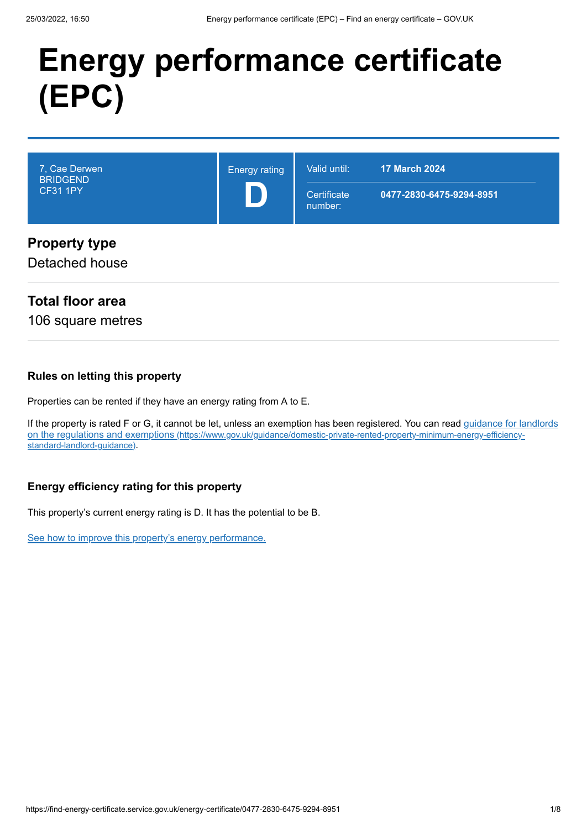# **Energy performance certificate (EPC)**

| 7, Cae Derwen<br><b>BRIDGEND</b><br><b>CF31 1PY</b> | <b>Energy rating</b> | Valid until:<br>Certificate<br>number: | <b>17 March 2024</b><br>0477-2830-6475-9294-8951 |
|-----------------------------------------------------|----------------------|----------------------------------------|--------------------------------------------------|
| <b>Property type</b><br>Detached house              |                      |                                        |                                                  |

## **Total floor area**

106 square metres

#### **Rules on letting this property**

Properties can be rented if they have an energy rating from A to E.

[If the property is rated F or G, it cannot be let, unless an exemption has been registered. You can read guidance for landlords](https://www.gov.uk/guidance/domestic-private-rented-property-minimum-energy-efficiency-standard-landlord-guidance) on the regulations and exemptions (https://www.gov.uk/guidance/domestic-private-rented-property-minimum-energy-efficiencystandard-landlord-guidance).

#### **Energy efficiency rating for this property**

This property's current energy rating is D. It has the potential to be B.

[See how to improve this property's energy performance.](#page-3-0)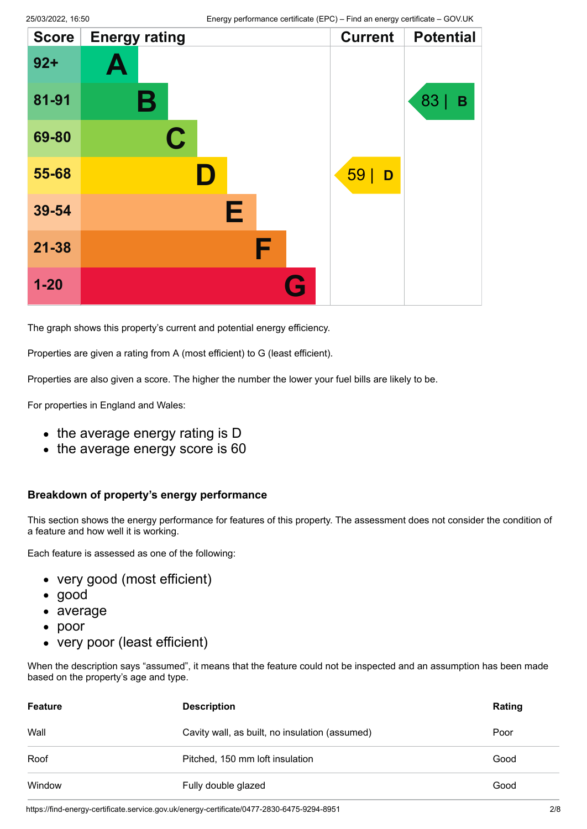| <b>Score</b> | <b>Energy rating</b> | <b>Current</b> | <b>Potential</b> |
|--------------|----------------------|----------------|------------------|
| $92 +$       | Ą                    |                |                  |
| 81-91        | Β                    |                | 83<br>B          |
| 69-80        | $\mathbf C$          |                |                  |
| 55-68        | D                    | 59             | D                |
| 39-54        | Е                    |                |                  |
| $21 - 38$    | F                    |                |                  |
| $1 - 20$     |                      | G              |                  |

The graph shows this property's current and potential energy efficiency.

Properties are given a rating from A (most efficient) to G (least efficient).

Properties are also given a score. The higher the number the lower your fuel bills are likely to be.

For properties in England and Wales:

- the average energy rating is D
- the average energy score is 60

#### **Breakdown of property's energy performance**

This section shows the energy performance for features of this property. The assessment does not consider the condition of a feature and how well it is working.

Each feature is assessed as one of the following:

- very good (most efficient)
- good
- average
- poor
- very poor (least efficient)

When the description says "assumed", it means that the feature could not be inspected and an assumption has been made based on the property's age and type.

| <b>Feature</b> | <b>Description</b>                             | Rating |
|----------------|------------------------------------------------|--------|
| Wall           | Cavity wall, as built, no insulation (assumed) | Poor   |
| Roof           | Pitched, 150 mm loft insulation                | Good   |
| Window         | Fully double glazed                            | Good   |

https://find-energy-certificate.service.gov.uk/energy-certificate/0477-2830-6475-9294-8951 2/8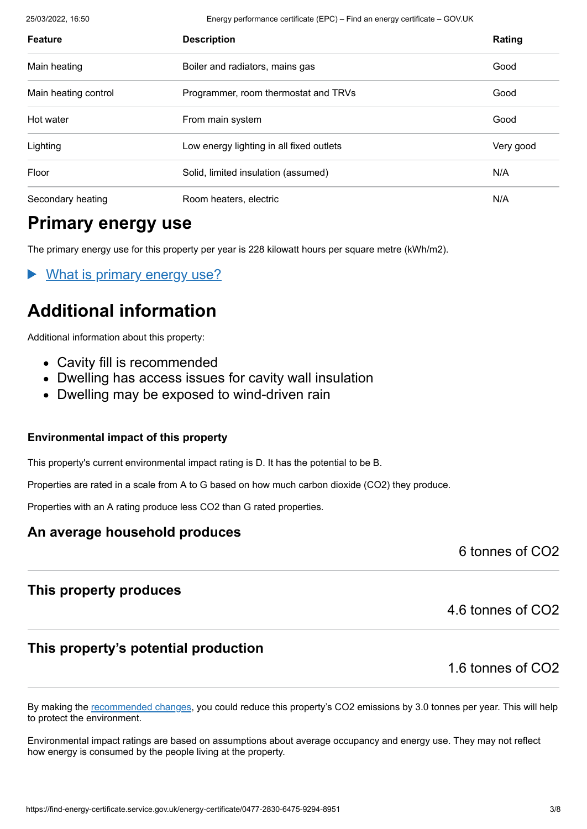25/03/2022, 16:50 Energy performance certificate (EPC) – Find an energy certificate – GOV.UK

| <b>Feature</b>       | <b>Description</b>                       | Rating    |
|----------------------|------------------------------------------|-----------|
| Main heating         | Boiler and radiators, mains gas          | Good      |
| Main heating control | Programmer, room thermostat and TRVs     | Good      |
| Hot water            | From main system                         | Good      |
| Lighting             | Low energy lighting in all fixed outlets | Very good |
| Floor                | Solid, limited insulation (assumed)      | N/A       |
| Secondary heating    | Room heaters, electric                   | N/A       |

# **Primary energy use**

The primary energy use for this property per year is 228 kilowatt hours per square metre (kWh/m2).

What is primary energy use?

# **Additional information**

Additional information about this property:

- Cavity fill is recommended
- Dwelling has access issues for cavity wall insulation
- Dwelling may be exposed to wind-driven rain

#### **Environmental impact of this property**

This property's current environmental impact rating is D. It has the potential to be B.

Properties are rated in a scale from A to G based on how much carbon dioxide (CO2) they produce.

Properties with an A rating produce less CO2 than G rated properties.

#### **An average household produces**

6 tonnes of CO2

## **This property produces**

## **This property's potential production**

1.6 tonnes of CO2

4.6 tonnes of CO2

By making the [recommended changes](#page-3-0), you could reduce this property's CO2 emissions by 3.0 tonnes per year. This will help to protect the environment.

Environmental impact ratings are based on assumptions about average occupancy and energy use. They may not reflect how energy is consumed by the people living at the property.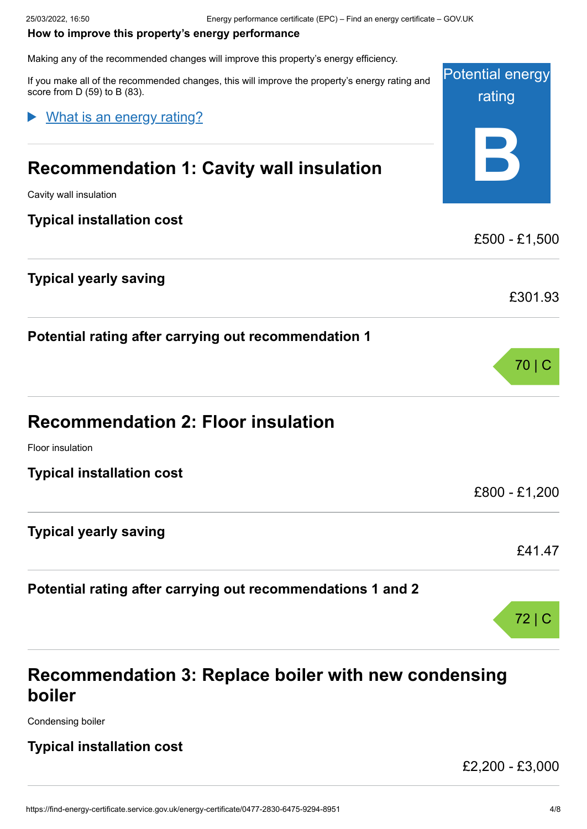#### <span id="page-3-0"></span>**How to improve this property's energy performance**

Making any of the recommended changes will improve this property's energy efficiency.

Potential energy rating **B** If you make all of the recommended changes, this will improve the property's energy rating and score from D (59) to B (83). **Recommendation 1: Cavity wall insulation** Cavity wall insulation **Typical installation cost** £500 - £1,500 **Typical yearly saving** £301.93 **Potential rating after carrying out recommendation 1** 70 | C **Recommendation 2: Floor insulation** Floor insulation **Typical installation cost** £800 - £1,200 **Typical yearly saving** £41.47 **Potential rating after carrying out recommendations 1 and 2** 72 | C What is an energy rating?

# **Recommendation 3: Replace boiler with new condensing boiler**

Condensing boiler

#### **Typical installation cost**

£2,200 - £3,000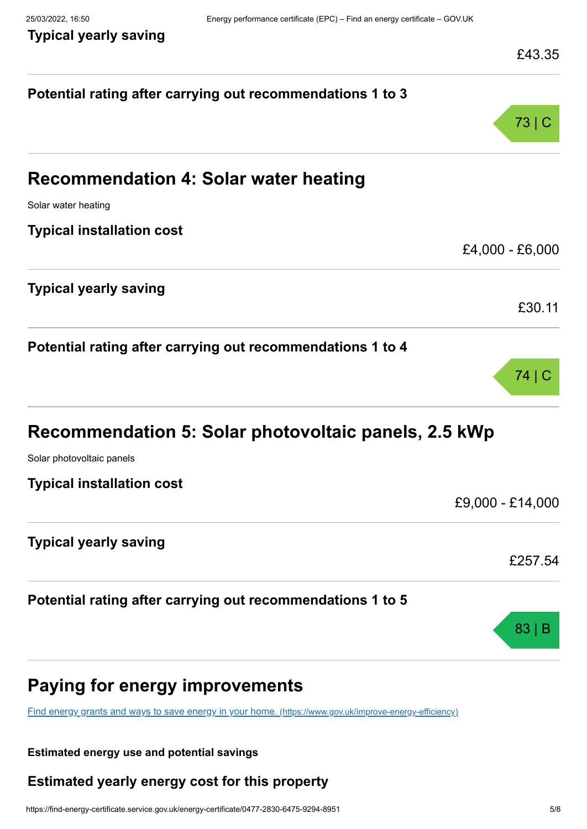## **Typical yearly saving**

| 43<br>י<br>L<br>۰<br>г<br>ن. |
|------------------------------|
|------------------------------|

| Potential rating after carrying out recommendations 1 to 3<br>73 C<br><b>Recommendation 4: Solar water heating</b><br>Solar water heating<br>£30.11<br>Potential rating after carrying out recommendations 1 to 4<br>74 C<br>Recommendation 5: Solar photovoltaic panels, 2.5 kWp<br>Solar photovoltaic panels<br><b>Typical installation cost</b><br><b>Typical yearly saving</b><br>Potential rating after carrying out recommendations 1 to 5<br>83 B<br><b>Paying for energy improvements</b><br>Find energy grants and ways to save energy in your home. (https://www.gov.uk/improve-energy-efficiency) |                                  | ∼−∪.∪            |
|--------------------------------------------------------------------------------------------------------------------------------------------------------------------------------------------------------------------------------------------------------------------------------------------------------------------------------------------------------------------------------------------------------------------------------------------------------------------------------------------------------------------------------------------------------------------------------------------------------------|----------------------------------|------------------|
|                                                                                                                                                                                                                                                                                                                                                                                                                                                                                                                                                                                                              |                                  |                  |
|                                                                                                                                                                                                                                                                                                                                                                                                                                                                                                                                                                                                              |                                  |                  |
|                                                                                                                                                                                                                                                                                                                                                                                                                                                                                                                                                                                                              |                                  |                  |
|                                                                                                                                                                                                                                                                                                                                                                                                                                                                                                                                                                                                              |                                  |                  |
|                                                                                                                                                                                                                                                                                                                                                                                                                                                                                                                                                                                                              |                                  |                  |
|                                                                                                                                                                                                                                                                                                                                                                                                                                                                                                                                                                                                              | <b>Typical installation cost</b> |                  |
|                                                                                                                                                                                                                                                                                                                                                                                                                                                                                                                                                                                                              |                                  | £4,000 - £6,000  |
|                                                                                                                                                                                                                                                                                                                                                                                                                                                                                                                                                                                                              | <b>Typical yearly saving</b>     |                  |
|                                                                                                                                                                                                                                                                                                                                                                                                                                                                                                                                                                                                              |                                  |                  |
|                                                                                                                                                                                                                                                                                                                                                                                                                                                                                                                                                                                                              |                                  |                  |
|                                                                                                                                                                                                                                                                                                                                                                                                                                                                                                                                                                                                              |                                  |                  |
|                                                                                                                                                                                                                                                                                                                                                                                                                                                                                                                                                                                                              |                                  |                  |
|                                                                                                                                                                                                                                                                                                                                                                                                                                                                                                                                                                                                              |                                  |                  |
|                                                                                                                                                                                                                                                                                                                                                                                                                                                                                                                                                                                                              |                                  |                  |
|                                                                                                                                                                                                                                                                                                                                                                                                                                                                                                                                                                                                              |                                  | £9,000 - £14,000 |
|                                                                                                                                                                                                                                                                                                                                                                                                                                                                                                                                                                                                              |                                  |                  |
|                                                                                                                                                                                                                                                                                                                                                                                                                                                                                                                                                                                                              |                                  | £257.54          |
|                                                                                                                                                                                                                                                                                                                                                                                                                                                                                                                                                                                                              |                                  |                  |
|                                                                                                                                                                                                                                                                                                                                                                                                                                                                                                                                                                                                              |                                  |                  |
|                                                                                                                                                                                                                                                                                                                                                                                                                                                                                                                                                                                                              |                                  |                  |
|                                                                                                                                                                                                                                                                                                                                                                                                                                                                                                                                                                                                              |                                  |                  |

#### **Estimated energy use and potential savings**

## **Estimated yearly energy cost for this property**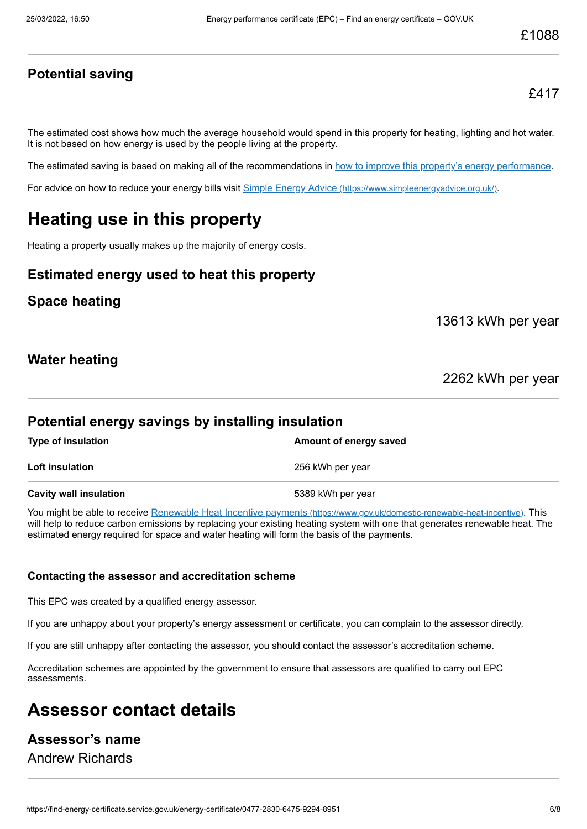#### **Potential saving**

£417

The estimated cost shows how much the average household would spend in this property for heating, lighting and hot water. It is not based on how energy is used by the people living at the property.

The estimated saving is based on making all of the recommendations in [how to improve this property's energy performance.](#page-3-0)

For advice on how to reduce your energy bills visit Simple Energy Advice [\(https://www.simpleenergyadvice.org.uk/\)](https://www.simpleenergyadvice.org.uk/).

# **Heating use in this property**

Heating a property usually makes up the majority of energy costs.

#### **Estimated energy used to heat this property**

#### **Space heating**

13613 kWh per year

#### **Water heating**

2262 kWh per year

#### **Potential energy savings by installing insulation**

| <b>Type of insulation</b> | Amount of energy saved |
|---------------------------|------------------------|
| Loft insulation           | 256 kWh per year       |
| Cavity wall insulation    | 5389 kWh per year      |

You might be able to receive Renewable Heat Incentive payments [\(https://www.gov.uk/domestic-renewable-heat-incentive\)](https://www.gov.uk/domestic-renewable-heat-incentive). This will help to reduce carbon emissions by replacing your existing heating system with one that generates renewable heat. The estimated energy required for space and water heating will form the basis of the payments.

#### **Contacting the assessor and accreditation scheme**

This EPC was created by a qualified energy assessor.

If you are unhappy about your property's energy assessment or certificate, you can complain to the assessor directly.

If you are still unhappy after contacting the assessor, you should contact the assessor's accreditation scheme.

Accreditation schemes are appointed by the government to ensure that assessors are qualified to carry out EPC assessments.

# **Assessor contact details**

#### **Assessor's name**

Andrew Richards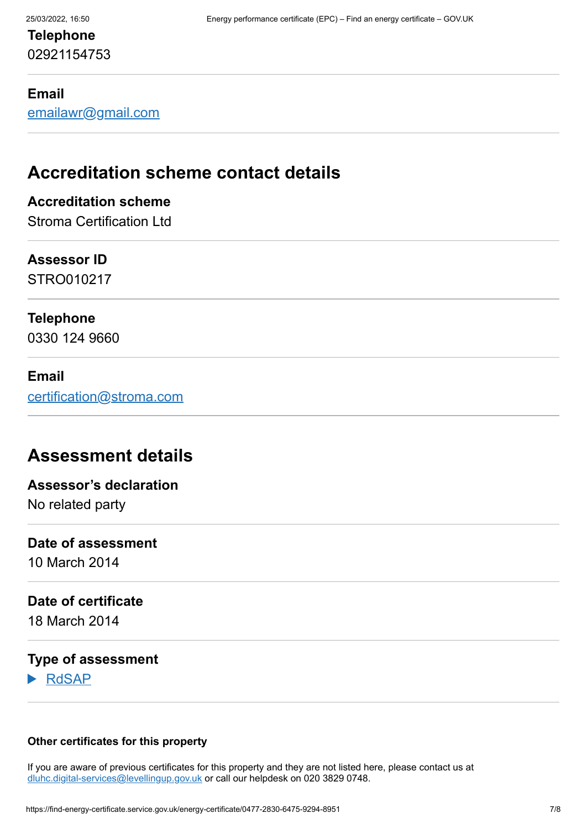## **Telephone** 02921154753

#### **Email**

[emailawr@gmail.com](mailto:emailawr@gmail.com)

# **Accreditation scheme contact details**

#### **Accreditation scheme**

Stroma Certification Ltd

#### **Assessor ID**

STRO010217

#### **Telephone**

0330 124 9660

#### **Email**

[certification@stroma.com](mailto:certification@stroma.com)

## **Assessment details**

# **Assessor's declaration**

No related party

#### **Date of assessment**

10 March 2014

#### **Date of certificate**

18 March 2014

#### **Type of assessment**

RdSAP

#### **Other certificates for this property**

If you are aware of previous certificates for this property and they are not listed here, please contact us at [dluhc.digital-services@levellingup.gov.uk](mailto:dluhc.digital-services@levellingup.gov.uk?subject=EPB%20-) or call our helpdesk on 020 3829 0748.